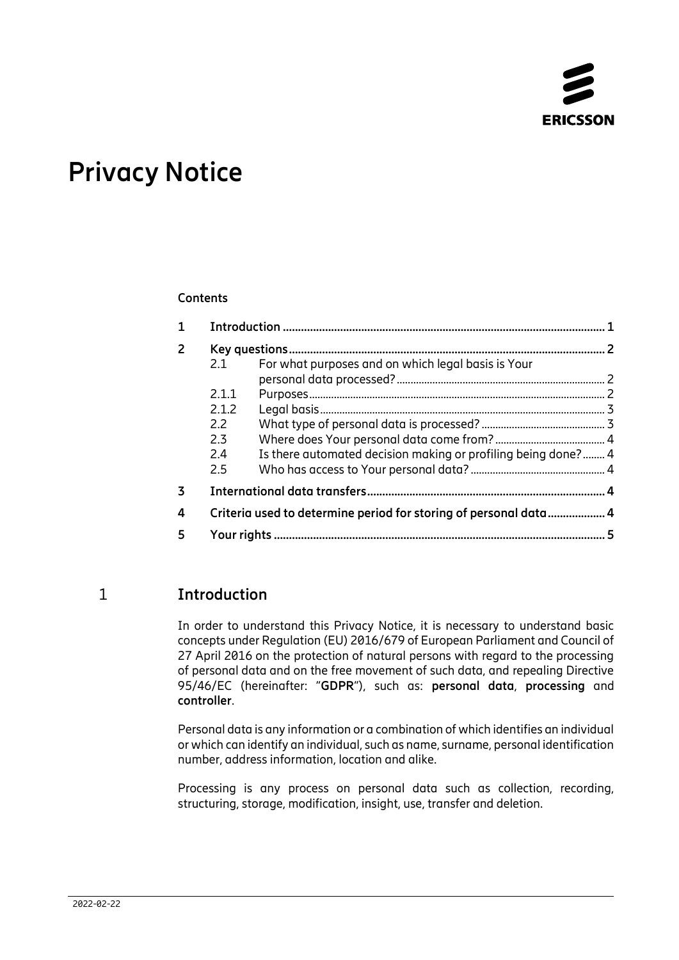

# **Privacy Notice**

#### **Contents**

| $\mathbf{1}$   |       |                                                               | $\mathbf{1}$             |
|----------------|-------|---------------------------------------------------------------|--------------------------|
| $\overline{2}$ |       |                                                               | $\overline{\phantom{0}}$ |
|                | 2.1   | For what purposes and on which legal basis is Your            |                          |
|                |       |                                                               |                          |
|                | 2.1.1 |                                                               |                          |
|                | 2.1.2 |                                                               |                          |
|                | 2.2   |                                                               |                          |
|                | 2.3   |                                                               |                          |
|                | 2.4   | Is there automated decision making or profiling being done? 4 |                          |
|                | 2.5   |                                                               |                          |
| 3              |       |                                                               |                          |
| 4              |       |                                                               |                          |
| 5              |       |                                                               | 5                        |

## 1 **Introduction**

<span id="page-0-0"></span>In order to understand this Privacy Notice, it is necessary to understand basic concepts under Regulation (EU) 2016/679 of European Parliament and Council of 27 April 2016 on the protection of natural persons with regard to the processing of personal data and on the free movement of such data, and repealing Directive 95/46/EC (hereinafter: "**GDPR**"), such as: **personal data**, **processing** and **controller**.

Personal data is any information or a combination of which identifies an individual or which can identify an individual, such as name, surname, personal identification number, address information, location and alike.

Processing is any process on personal data such as collection, recording, structuring, storage, modification, insight, use, transfer and deletion.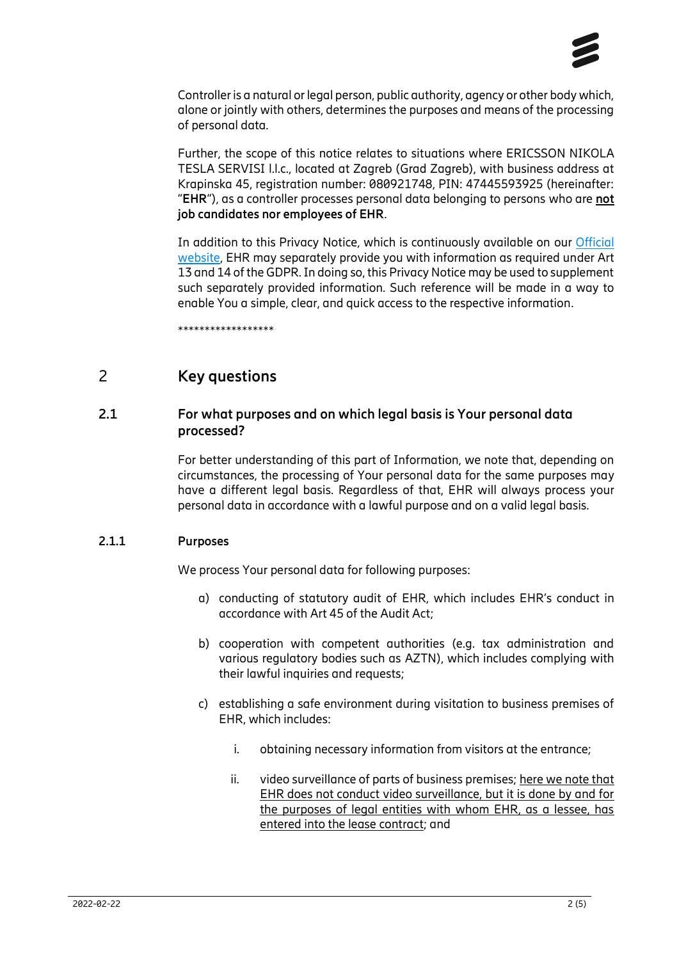

Controller is a natural or legal person, public authority, agency or other body which, alone or jointly with others, determines the purposes and means of the processing of personal data.

Further, the scope of this notice relates to situations where ERICSSON NIKOLA TESLA SERVISI l.l.c., located at Zagreb (Grad Zagreb), with business address at Krapinska 45, registration number: 080921748, PIN: 47445593925 (hereinafter: "**EHR**"), as a controller processes personal data belonging to persons who are **not job candidates nor employees of EHR**.

In addition to this Privacy Notice, which is continuously available on our [Official](https://www.ericsson.hr/privatnost)  [website,](https://www.ericsson.hr/privatnost) EHR may separately provide you with information as required under Art 13 and 14 of the GDPR. In doing so, this Privacy Notice may be used to supplement such separately provided information. Such reference will be made in a way to enable You a simple, clear, and quick access to the respective information.

<span id="page-1-0"></span>\*\*\*\*\*\*\*\*\*\*\*\*\*\*\*\*\*\*

## 2 **Key questions**

#### **2.1 For what purposes and on which legal basis is Your personal data processed?**

<span id="page-1-1"></span>For better understanding of this part of Information, we note that, depending on circumstances, the processing of Your personal data for the same purposes may have a different legal basis. Regardless of that, EHR will always process your personal data in accordance with a lawful purpose and on a valid legal basis.

#### **2.1.1 Purposes**

<span id="page-1-2"></span>We process Your personal data for following purposes:

- a) conducting of statutory audit of EHR, which includes EHR's conduct in accordance with Art 45 of the Audit Act;
- b) cooperation with competent authorities (e.g. tax administration and various regulatory bodies such as AZTN), which includes complying with their lawful inquiries and requests;
- c) establishing a safe environment during visitation to business premises of EHR, which includes:
	- i. obtaining necessary information from visitors at the entrance;
	- ii. video surveillance of parts of business premises; here we note that EHR does not conduct video surveillance, but it is done by and for the purposes of legal entities with whom EHR, as a lessee, has entered into the lease contract; and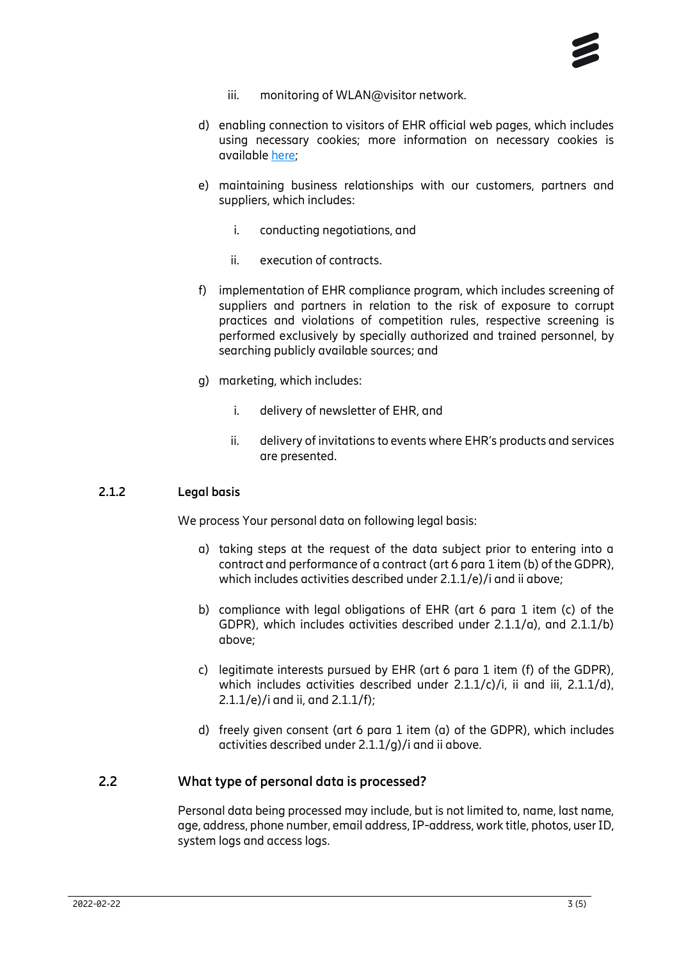- iii. monitoring of WLAN@visitor network.
- d) enabling connection to visitors of EHR official web pages, which includes using necessary cookies; more information on necessary cookies is available [here;](https://www.ericsson.hr/privatnost)
- e) maintaining business relationships with our customers, partners and suppliers, which includes:
	- i. conducting negotiations, and
	- ii. execution of contracts.
- f) implementation of EHR compliance program, which includes screening of suppliers and partners in relation to the risk of exposure to corrupt practices and violations of competition rules, respective screening is performed exclusively by specially authorized and trained personnel, by searching publicly available sources; and
- g) marketing, which includes:
	- i. delivery of newsletter of EHR, and
	- ii. delivery of invitations to events where EHR's products and services are presented.

#### **2.1.2 Legal basis**

<span id="page-2-0"></span>We process Your personal data on following legal basis:

- a) taking steps at the request of the data subject prior to entering into a contract and performance of a contract (art 6 para 1 item (b) of the GDPR), which includes activities described under 2.1.1/e)/i and ii above;
- b) compliance with legal obligations of EHR (art 6 para 1 item (c) of the GDPR), which includes activities described under 2.1.1/a), and 2.1.1/b) above;
- c) legitimate interests pursued by EHR (art 6 para 1 item (f) of the GDPR), which includes activities described under  $2.1.1/c$ )/i, ii and iii,  $2.1.1/d$ ), 2.1.1/e)/i and ii, and 2.1.1/f);
- d) freely given consent (art 6 para 1 item (a) of the GDPR), which includes activities described under 2.1.1/g)/i and ii above.

#### **2.2 What type of personal data is processed?**

<span id="page-2-1"></span>Personal data being processed may include, but is not limited to, name, last name, age, address, phone number, email address, IP-address, work title, photos, user ID, system logs and access logs.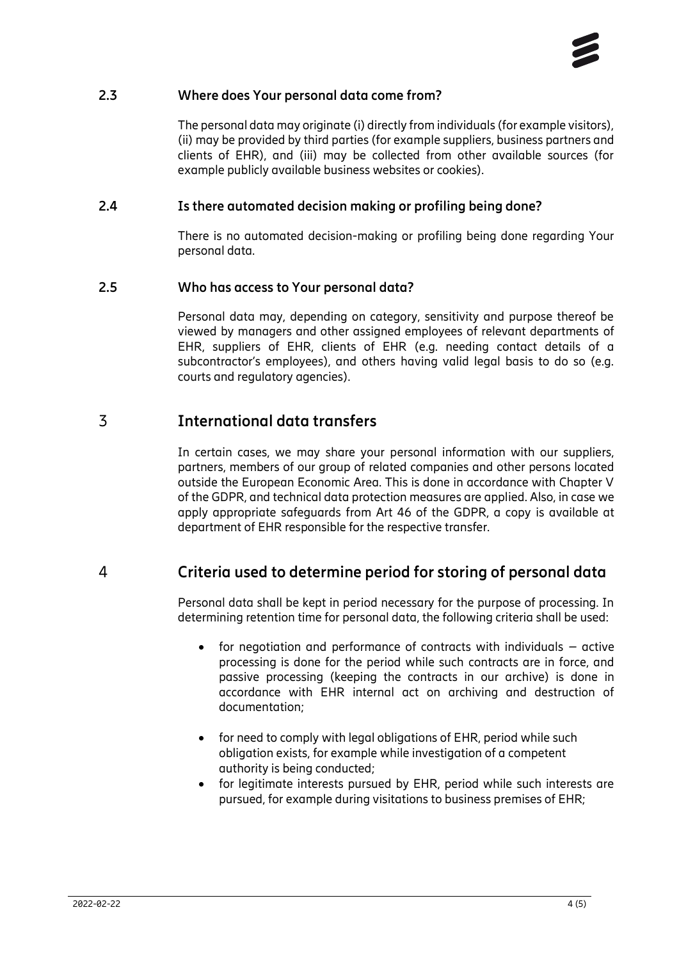#### **2.3 Where does Your personal data come from?**

<span id="page-3-0"></span>The personal data may originate (i) directly from individuals (for example visitors), (ii) may be provided by third parties (for example suppliers, business partners and clients of EHR), and (iii) may be collected from other available sources (for example publicly available business websites or cookies).

#### **2.4 Is there automated decision making or profiling being done?**

<span id="page-3-1"></span>There is no automated decision-making or profiling being done regarding Your personal data.

#### **2.5 Who has access to Your personal data?**

<span id="page-3-2"></span>Personal data may, depending on category, sensitivity and purpose thereof be viewed by managers and other assigned employees of relevant departments of EHR, suppliers of EHR, clients of EHR (e.g. needing contact details of a subcontractor's employees), and others having valid legal basis to do so (e.g. courts and regulatory agencies).

## 3 **International data transfers**

<span id="page-3-3"></span>In certain cases, we may share your personal information with our suppliers, partners, members of our group of related companies and other persons located outside the European Economic Area. This is done in accordance with Chapter V of the GDPR, and technical data protection measures are applied. Also, in case we apply appropriate safeguards from Art 46 of the GDPR, a copy is available at department of EHR responsible for the respective transfer.

## 4 **Criteria used to determine period for storing of personal data**

<span id="page-3-4"></span>Personal data shall be kept in period necessary for the purpose of processing. In determining retention time for personal data, the following criteria shall be used:

- for negotiation and performance of contracts with individuals active processing is done for the period while such contracts are in force, and passive processing (keeping the contracts in our archive) is done in accordance with EHR internal act on archiving and destruction of documentation;
- for need to comply with legal obligations of EHR, period while such obligation exists, for example while investigation of a competent authority is being conducted;
- for legitimate interests pursued by EHR, period while such interests are pursued, for example during visitations to business premises of EHR;